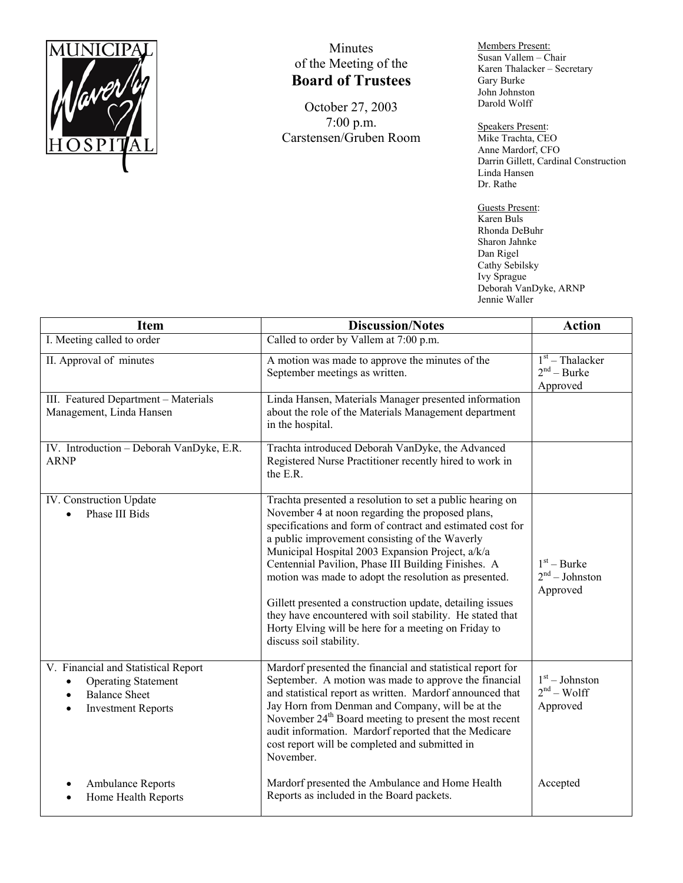

## Minutes of the Meeting of the **Board of Trustees**

October 27, 2003 7:00 p.m. Carstensen/Gruben Room Members Present: Susan Vallem – Chair Karen Thalacker – Secretary Gary Burke John Johnston Darold Wolff

Speakers Present: Mike Trachta, CEO Anne Mardorf, CFO Darrin Gillett, Cardinal Construction Linda Hansen Dr. Rathe

Guests Present: Karen Buls Rhonda DeBuhr Sharon Jahnke Dan Rigel Cathy Sebilsky Ivy Sprague Deborah VanDyke, ARNP Jennie Waller

| <b>Item</b>                                                                                                            | <b>Discussion/Notes</b>                                                                                                                                                                                                                                                                                                                                                                                                                                                                                                                                                                                        | <b>Action</b>                                  |
|------------------------------------------------------------------------------------------------------------------------|----------------------------------------------------------------------------------------------------------------------------------------------------------------------------------------------------------------------------------------------------------------------------------------------------------------------------------------------------------------------------------------------------------------------------------------------------------------------------------------------------------------------------------------------------------------------------------------------------------------|------------------------------------------------|
| I. Meeting called to order                                                                                             | Called to order by Vallem at 7:00 p.m.                                                                                                                                                                                                                                                                                                                                                                                                                                                                                                                                                                         |                                                |
| II. Approval of minutes                                                                                                | A motion was made to approve the minutes of the<br>September meetings as written.                                                                                                                                                                                                                                                                                                                                                                                                                                                                                                                              | $1st$ – Thalacker<br>$2nd - Burke$<br>Approved |
| III. Featured Department - Materials<br>Management, Linda Hansen                                                       | Linda Hansen, Materials Manager presented information<br>about the role of the Materials Management department<br>in the hospital.                                                                                                                                                                                                                                                                                                                                                                                                                                                                             |                                                |
| IV. Introduction - Deborah VanDyke, E.R.<br><b>ARNP</b>                                                                | Trachta introduced Deborah VanDyke, the Advanced<br>Registered Nurse Practitioner recently hired to work in<br>the E.R.                                                                                                                                                                                                                                                                                                                                                                                                                                                                                        |                                                |
| IV. Construction Update<br>Phase III Bids                                                                              | Trachta presented a resolution to set a public hearing on<br>November 4 at noon regarding the proposed plans,<br>specifications and form of contract and estimated cost for<br>a public improvement consisting of the Waverly<br>Municipal Hospital 2003 Expansion Project, a/k/a<br>Centennial Pavilion, Phase III Building Finishes. A<br>motion was made to adopt the resolution as presented.<br>Gillett presented a construction update, detailing issues<br>they have encountered with soil stability. He stated that<br>Horty Elving will be here for a meeting on Friday to<br>discuss soil stability. | $1st$ – Burke<br>$2nd - Johnston$<br>Approved  |
| V. Financial and Statistical Report<br><b>Operating Statement</b><br><b>Balance Sheet</b><br><b>Investment Reports</b> | Mardorf presented the financial and statistical report for<br>September. A motion was made to approve the financial<br>and statistical report as written. Mardorf announced that<br>Jay Horn from Denman and Company, will be at the<br>November 24 <sup>th</sup> Board meeting to present the most recent<br>audit information. Mardorf reported that the Medicare<br>cost report will be completed and submitted in<br>November.                                                                                                                                                                             | $1st - Johnston$<br>$2nd - Wolf$<br>Approved   |
| Ambulance Reports<br>Home Health Reports                                                                               | Mardorf presented the Ambulance and Home Health<br>Reports as included in the Board packets.                                                                                                                                                                                                                                                                                                                                                                                                                                                                                                                   | Accepted                                       |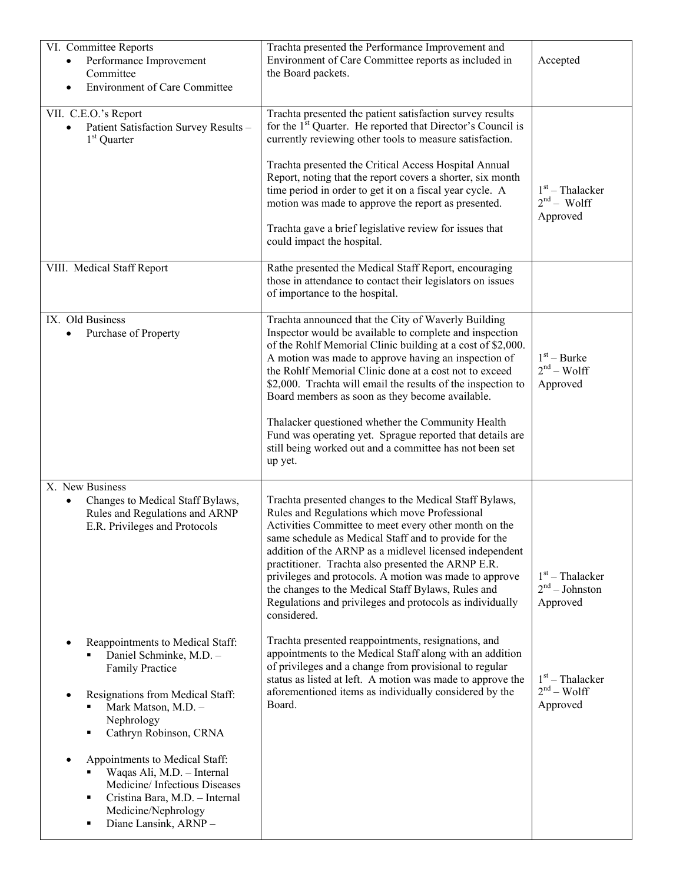| VI. Committee Reports<br>Performance Improvement<br>Committee                                                                                                                                                                                                                                                                   | Trachta presented the Performance Improvement and<br>Environment of Care Committee reports as included in<br>the Board packets.                                                                                                                                                                                                                                                                                                                                                                                                                                                                                                                                                                                                                                                                                                                      | Accepted                                                                                           |
|---------------------------------------------------------------------------------------------------------------------------------------------------------------------------------------------------------------------------------------------------------------------------------------------------------------------------------|------------------------------------------------------------------------------------------------------------------------------------------------------------------------------------------------------------------------------------------------------------------------------------------------------------------------------------------------------------------------------------------------------------------------------------------------------------------------------------------------------------------------------------------------------------------------------------------------------------------------------------------------------------------------------------------------------------------------------------------------------------------------------------------------------------------------------------------------------|----------------------------------------------------------------------------------------------------|
| <b>Environment of Care Committee</b>                                                                                                                                                                                                                                                                                            |                                                                                                                                                                                                                                                                                                                                                                                                                                                                                                                                                                                                                                                                                                                                                                                                                                                      |                                                                                                    |
| VII. C.E.O.'s Report<br>Patient Satisfaction Survey Results -<br>$1st$ Quarter                                                                                                                                                                                                                                                  | Trachta presented the patient satisfaction survey results<br>for the 1 <sup>st</sup> Quarter. He reported that Director's Council is<br>currently reviewing other tools to measure satisfaction.<br>Trachta presented the Critical Access Hospital Annual<br>Report, noting that the report covers a shorter, six month<br>time period in order to get it on a fiscal year cycle. A<br>motion was made to approve the report as presented.<br>Trachta gave a brief legislative review for issues that<br>could impact the hospital.                                                                                                                                                                                                                                                                                                                  | $1st$ – Thalacker<br>$2nd$ – Wolff<br>Approved                                                     |
| VIII. Medical Staff Report                                                                                                                                                                                                                                                                                                      | Rathe presented the Medical Staff Report, encouraging<br>those in attendance to contact their legislators on issues<br>of importance to the hospital.                                                                                                                                                                                                                                                                                                                                                                                                                                                                                                                                                                                                                                                                                                |                                                                                                    |
| IX. Old Business<br>Purchase of Property                                                                                                                                                                                                                                                                                        | Trachta announced that the City of Waverly Building<br>Inspector would be available to complete and inspection<br>of the Rohlf Memorial Clinic building at a cost of \$2,000.<br>A motion was made to approve having an inspection of<br>the Rohlf Memorial Clinic done at a cost not to exceed<br>\$2,000. Trachta will email the results of the inspection to<br>Board members as soon as they become available.<br>Thalacker questioned whether the Community Health<br>Fund was operating yet. Sprague reported that details are<br>still being worked out and a committee has not been set<br>up yet.                                                                                                                                                                                                                                           | $1st - Burke$<br>$2nd - Wolf$<br>Approved                                                          |
| X. New Business<br>Changes to Medical Staff Bylaws,<br>$\bullet$<br>Rules and Regulations and ARNP<br>E.R. Privileges and Protocols<br>Reappointments to Medical Staff:<br>Daniel Schminke, M.D. -<br><b>Family Practice</b><br>Resignations from Medical Staff:<br>Mark Matson, M.D. -<br>Nephrology<br>Cathryn Robinson, CRNA | Trachta presented changes to the Medical Staff Bylaws,<br>Rules and Regulations which move Professional<br>Activities Committee to meet every other month on the<br>same schedule as Medical Staff and to provide for the<br>addition of the ARNP as a midlevel licensed independent<br>practitioner. Trachta also presented the ARNP E.R.<br>privileges and protocols. A motion was made to approve<br>the changes to the Medical Staff Bylaws, Rules and<br>Regulations and privileges and protocols as individually<br>considered.<br>Trachta presented reappointments, resignations, and<br>appointments to the Medical Staff along with an addition<br>of privileges and a change from provisional to regular<br>status as listed at left. A motion was made to approve the<br>aforementioned items as individually considered by the<br>Board. | $1st$ – Thalacker<br>$2nd - Johnston$<br>Approved<br>$1st$ – Thalacker<br>$2nd - Wolf$<br>Approved |
| Appointments to Medical Staff:<br>Waqas Ali, M.D. - Internal<br>Medicine/Infectious Diseases<br>Cristina Bara, M.D. - Internal<br>٠<br>Medicine/Nephrology<br>Diane Lansink, ARNP-                                                                                                                                              |                                                                                                                                                                                                                                                                                                                                                                                                                                                                                                                                                                                                                                                                                                                                                                                                                                                      |                                                                                                    |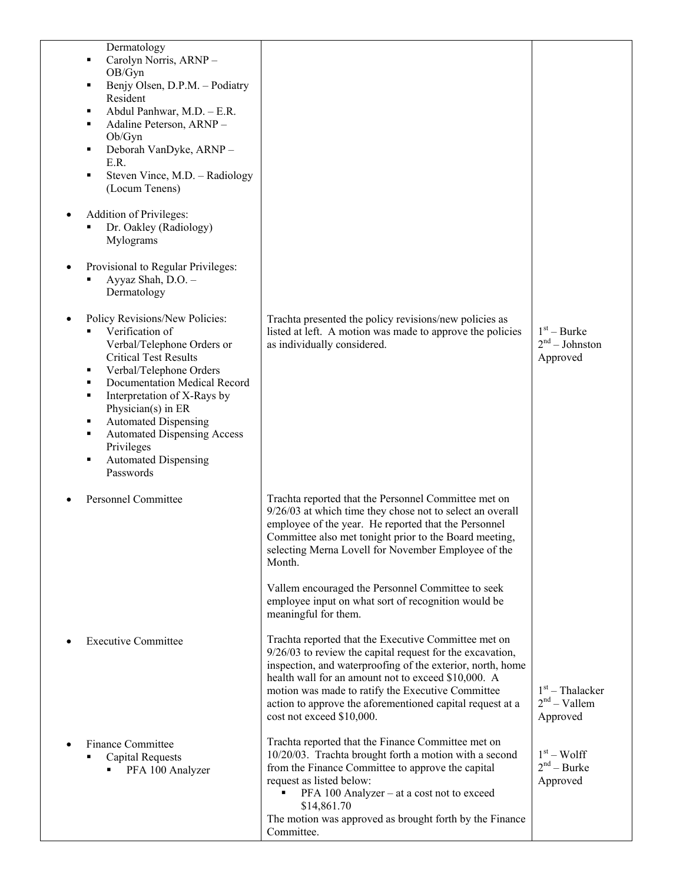| Dermatology<br>Carolyn Norris, ARNP-<br>٠<br>OB/Gyn<br>Benjy Olsen, D.P.M. - Podiatry<br>٠<br>Resident<br>Abdul Panhwar, M.D. - E.R.<br>٠<br>Adaline Peterson, ARNP-<br>п<br>Ob/Gyn<br>Deborah VanDyke, ARNP-<br>٠<br>E.R.<br>Steven Vince, M.D. - Radiology<br>٠<br>(Locum Tenens)                                                                                                          |                                                                                                                                                                                                                                                                                                                                                                                                                  |                                                 |
|----------------------------------------------------------------------------------------------------------------------------------------------------------------------------------------------------------------------------------------------------------------------------------------------------------------------------------------------------------------------------------------------|------------------------------------------------------------------------------------------------------------------------------------------------------------------------------------------------------------------------------------------------------------------------------------------------------------------------------------------------------------------------------------------------------------------|-------------------------------------------------|
| Addition of Privileges:<br>Dr. Oakley (Radiology)<br>٠<br>Mylograms                                                                                                                                                                                                                                                                                                                          |                                                                                                                                                                                                                                                                                                                                                                                                                  |                                                 |
| Provisional to Regular Privileges:<br>Ayyaz Shah, D.O. -<br>٠<br>Dermatology                                                                                                                                                                                                                                                                                                                 |                                                                                                                                                                                                                                                                                                                                                                                                                  |                                                 |
| Policy Revisions/New Policies:<br>Verification of<br>Verbal/Telephone Orders or<br><b>Critical Test Results</b><br>Verbal/Telephone Orders<br>٠<br>Documentation Medical Record<br>٠<br>Interpretation of X-Rays by<br>٠<br>Physician(s) in ER<br><b>Automated Dispensing</b><br>٠<br><b>Automated Dispensing Access</b><br>٠<br>Privileges<br><b>Automated Dispensing</b><br>٠<br>Passwords | Trachta presented the policy revisions/new policies as<br>listed at left. A motion was made to approve the policies<br>as individually considered.                                                                                                                                                                                                                                                               | $1st - Burke$<br>$2nd - Johnston$<br>Approved   |
| <b>Personnel Committee</b>                                                                                                                                                                                                                                                                                                                                                                   | Trachta reported that the Personnel Committee met on<br>9/26/03 at which time they chose not to select an overall<br>employee of the year. He reported that the Personnel<br>Committee also met tonight prior to the Board meeting,<br>selecting Merna Lovell for November Employee of the<br>Month.<br>Vallem encouraged the Personnel Committee to seek<br>employee input on what sort of recognition would be |                                                 |
| <b>Executive Committee</b>                                                                                                                                                                                                                                                                                                                                                                   | meaningful for them.<br>Trachta reported that the Executive Committee met on<br>$9/26/03$ to review the capital request for the excavation,<br>inspection, and waterproofing of the exterior, north, home<br>health wall for an amount not to exceed \$10,000. A<br>motion was made to ratify the Executive Committee<br>action to approve the aforementioned capital request at a<br>cost not exceed \$10,000.  | $1st$ – Thalacker<br>$2nd - Vallem$<br>Approved |
| <b>Finance Committee</b><br><b>Capital Requests</b><br>PFA 100 Analyzer                                                                                                                                                                                                                                                                                                                      | Trachta reported that the Finance Committee met on<br>10/20/03. Trachta brought forth a motion with a second<br>from the Finance Committee to approve the capital<br>request as listed below:<br>PFA 100 Analyzer - at a cost not to exceed<br>\$14,861.70<br>The motion was approved as brought forth by the Finance<br>Committee.                                                                              | $1st - Wolf$<br>$2nd - Burke$<br>Approved       |